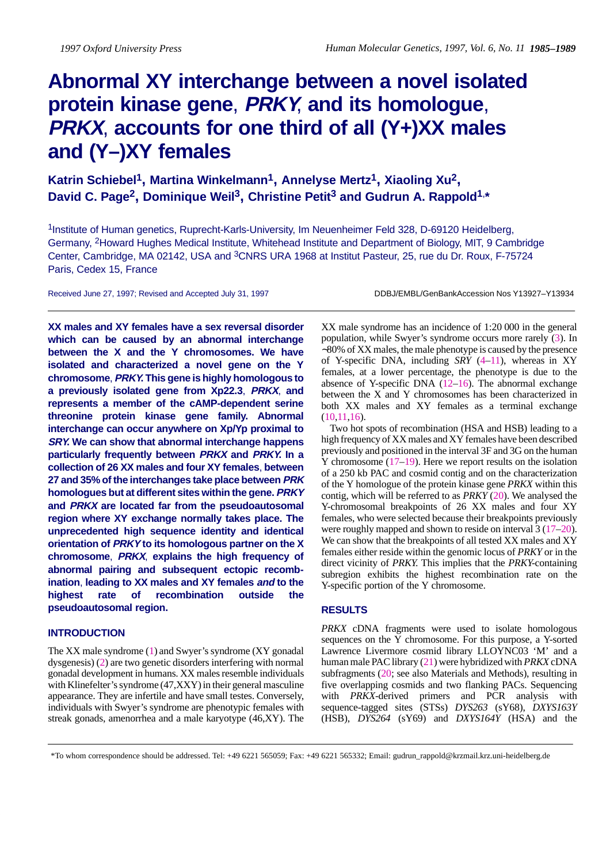# **Abnormal XY interchange between a novel isolated protein kinase gene**, **PRKY**, **and its homologue**, **PRKX**, **accounts for one third of all (Y+)XX males and (Y–)XY females**

Katrin Schiebel<sup>1</sup>, Martina Winkelmann<sup>1</sup>, Annelyse Mertz<sup>1</sup>, Xiaoling Xu<sup>2</sup>, David C. Page<sup>2</sup>, Dominique Weil<sup>3</sup>, Christine Petit<sup>3</sup> and Gudrun A. Rappold<sup>1,\*</sup>

1Institute of Human genetics, Ruprecht-Karls-University, Im Neuenheimer Feld 328, D-69120 Heidelberg, Germany, 2Howard Hughes Medical Institute, Whitehead Institute and Department of Biology, MIT, 9 Cambridge Center, Cambridge, MA 02142, USA and <sup>3</sup>CNRS URA 1968 at Institut Pasteur, 25, rue du Dr. Roux, F-75724 Paris, Cedex 15, France

Received June 27, 1997; Revised and Accepted July 31, 1997 DEMELTHEL CHANGEL/GenBankAccession Nos Y13927-Y13934

**XX males and XY females have a sex reversal disorder which can be caused by an abnormal interchange between the X and the Y chromosomes. We have isolated and characterized a novel gene on the Y chromosome**, **PRKY. This gene is highly homologous to a previously isolated gene from Xp22.3**, **PRKX**, **and represents a member of the cAMP-dependent serine threonine protein kinase gene family. Abnormal interchange can occur anywhere on Xp/Yp proximal to SRY. We can show that abnormal interchange happens particularly frequently between PRKX and PRKY. In a collection of 26 XX males and four XY females**, **between 27 and 35% of the interchanges take place between PRK homologues but at different sites within the gene. PRKY and PRKX are located far from the pseudoautosomal region where XY exchange normally takes place. The unprecedented high sequence identity and identical orientation of PRKY to its homologous partner on the X chromosome**, **PRKX**, **explains the high frequency of abnormal pairing and subsequent ectopic recombination**, **leading to XX males and XY females and to the highest rate of recombination outside the pseudoautosomal region.**

# **INTRODUCTION**

The XX male syndrome (1) and Swyer's syndrome (XY gonadal dysgenesis) (2) are two genetic disorders interfering with normal gonadal development in humans. XX males resemble individuals with Klinefelter's syndrome (47,XXY) in their general masculine appearance. They are infertile and have small testes. Conversely, individuals with Swyer's syndrome are phenotypic females with streak gonads, amenorrhea and a male karyotype (46,XY). The

XX male syndrome has an incidence of 1:20 000 in the general population, while Swyer's syndrome occurs more rarely (3). In ∼80% of XX males, the male phenotype is caused by the presence of Y-specific DNA, including *SRY* (4–11), whereas in XY females, at a lower percentage, the phenotype is due to the absence of Y-specific DNA  $(12-16)$ . The abnormal exchange between the X and Y chromosomes has been characterized in both XX males and XY females as a terminal exchange (10,11,16).

Two hot spots of recombination (HSA and HSB) leading to a high frequency of XX males and XY females have been described previously and positioned in the interval 3F and 3G on the human Y chromosome (17–19). Here we report results on the isolation of a 250 kb PAC and cosmid contig and on the characterization of the Y homologue of the protein kinase gene *PRKX* within this contig, which will be referred to as *PRKY* (20). We analysed the Y-chromosomal breakpoints of 26 XX males and four XY females, who were selected because their breakpoints previously were roughly mapped and shown to reside on interval 3 (17–20). We can show that the breakpoints of all tested XX males and XY females either reside within the genomic locus of *PRKY* or in the direct vicinity of *PRKY*. This implies that the *PRKY*-containing subregion exhibits the highest recombination rate on the Y-specific portion of the Y chromosome.

# **RESULTS**

*PRKX* cDNA fragments were used to isolate homologous sequences on the Y chromosome. For this purpose, a Y-sorted Lawrence Livermore cosmid library LLOYNC03 'M' and a human male PAC library (21) were hybridized with *PRKX* cDNA subfragments (20; see also Materials and Methods), resulting in five overlapping cosmids and two flanking PACs. Sequencing with *PRKX*-derived primers and PCR analysis with sequence-tagged sites (STSs) *DYS263* (sY68), *DXYS163Y* (HSB), *DYS264* (sY69) and *DXYS164Y* (HSA) and the

\*To whom correspondence should be addressed. Tel: +49 6221 565059; Fax: +49 6221 565332; Email: gudrun\_rappold@krzmail.krz.uni-heidelberg.de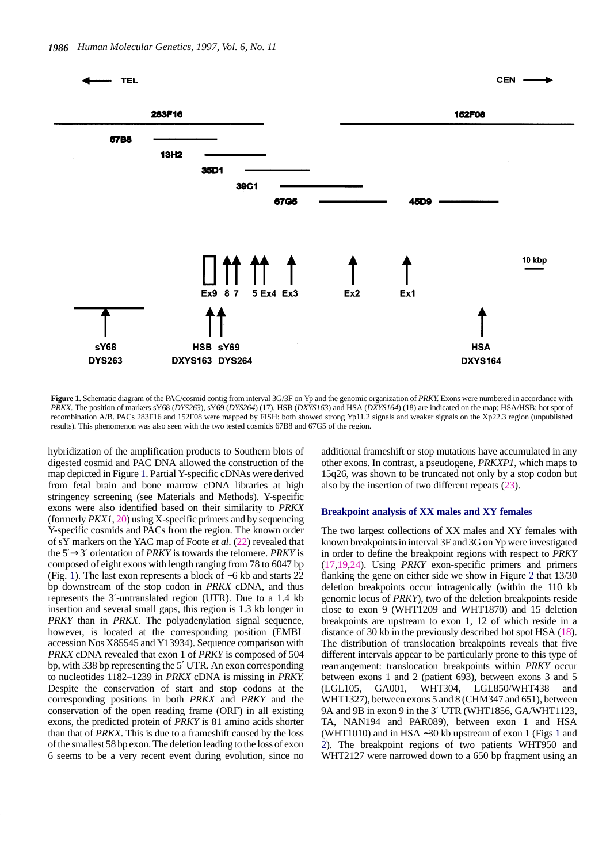

**Figure 1.** Schematic diagram of the PAC/cosmid contig from interval 3G/3F on Yp and the genomic organization of *PRKY*. Exons were numbered in accordance with *PRKX*. The position of markers sY68 (*DYS263*), sY69 (*DYS264*) (17), HSB (*DXYS163*) and HSA (*DXYS164*) (18) are indicated on the map; HSA/HSB: hot spot of recombination A/B. PACs 283F16 and 152F08 were mapped by FISH: both showed strong Yp11.2 signals and weaker signals on the Xp22.3 region (unpublished results). This phenomenon was also seen with the two tested cosmids 67B8 and 67G5 of the region.

hybridization of the amplification products to Southern blots of digested cosmid and PAC DNA allowed the construction of the map depicted in Figure 1. Partial Y-specific cDNAs were derived from fetal brain and bone marrow cDNA libraries at high stringency screening (see Materials and Methods). Y-specific exons were also identified based on their similarity to *PRKX* (formerly *PKX1*, 20) using X-specific primers and by sequencing Y-specific cosmids and PACs from the region. The known order of sY markers on the YAC map of Foote *et al*. (22) revealed that the 5′→3′ orientation of *PRKY* is towards the telomere. *PRKY* is composed of eight exons with length ranging from 78 to 6047 bp (Fig. 1). The last exon represents a block of ∼6 kb and starts 22 bp downstream of the stop codon in *PRKX* cDNA, and thus represents the 3′-untranslated region (UTR). Due to a 1.4 kb insertion and several small gaps, this region is 1.3 kb longer in *PRKY* than in *PRKX*. The polyadenylation signal sequence, however, is located at the corresponding position (EMBL accession Nos X85545 and Y13934). Sequence comparison with *PRKX* cDNA revealed that exon 1 of *PRKY* is composed of 504 bp, with 338 bp representing the 5′ UTR. An exon corresponding to nucleotides 1182–1239 in *PRKX* cDNA is missing in *PRKY*. Despite the conservation of start and stop codons at the corresponding positions in both *PRKX* and *PRKY* and the conservation of the open reading frame (ORF) in all existing exons, the predicted protein of *PRKY* is 81 amino acids shorter than that of *PRKX*. This is due to a frameshift caused by the loss of the smallest 58 bp exon. The deletion leading to the loss of exon 6 seems to be a very recent event during evolution, since no

additional frameshift or stop mutations have accumulated in any other exons. In contrast, a pseudogene, *PRKXP1*, which maps to 15q26, was shown to be truncated not only by a stop codon but also by the insertion of two different repeats (23).

# **Breakpoint analysis of XX males and XY females**

The two largest collections of XX males and XY females with known breakpoints in interval 3F and 3G on Yp were investigated in order to define the breakpoint regions with respect to *PRKY* (17,19,24). Using *PRKY* exon-specific primers and primers flanking the gene on either side we show in Figure 2 that 13/30 deletion breakpoints occur intragenically (within the 110 kb genomic locus of *PRKY*), two of the deletion breakpoints reside close to exon 9 (WHT1209 and WHT1870) and 15 deletion breakpoints are upstream to exon 1, 12 of which reside in a distance of 30 kb in the previously described hot spot HSA (18). The distribution of translocation breakpoints reveals that five different intervals appear to be particularly prone to this type of rearrangement: translocation breakpoints within *PRKY* occur between exons 1 and 2 (patient 693), between exons 3 and 5 (LGL105, GA001, WHT304, LGL850/WHT438 and WHT1327), between exons 5 and 8 (CHM347 and 651), between 9A and 9B in exon 9 in the 3′ UTR (WHT1856, GA/WHT1123, TA, NAN194 and PAR089), between exon 1 and HSA (WHT1010) and in HSA ∼30 kb upstream of exon 1 (Figs 1 and 2). The breakpoint regions of two patients WHT950 and WHT2127 were narrowed down to a 650 bp fragment using an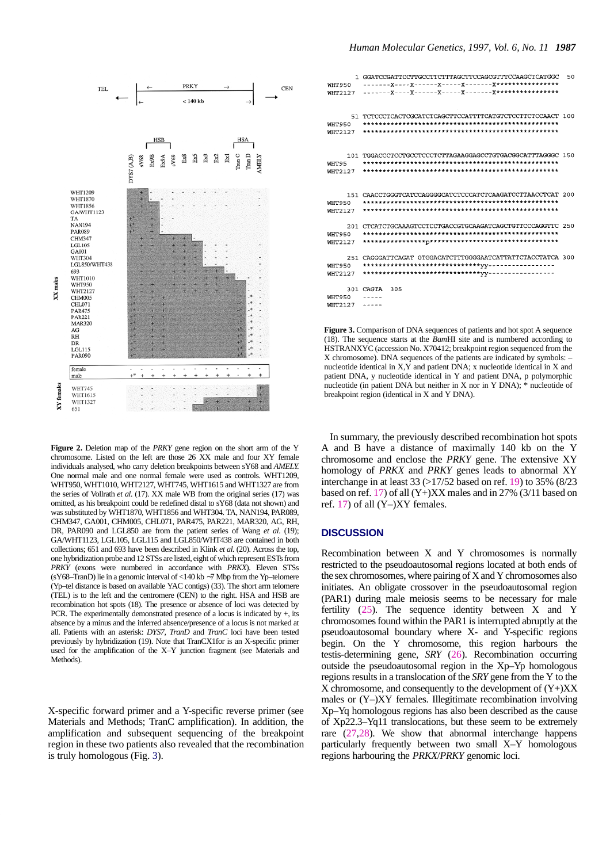

**Figure 2.** Deletion map of the *PRKY* gene region on the short arm of the Y chromosome. Listed on the left are those 26 XX male and four XY female individuals analysed, who carry deletion breakpoints between sY68 and *AMELY*. One normal male and one normal female were used as controls. WHT1209, WHT950, WHT1010, WHT2127, WHT745, WHT1615 and WHT1327 are from the series of Vollrath *et al*. (17). XX male WB from the original series (17) was omitted, as his breakpoint could be redefined distal to sY68 (data not shown) and was substituted by WHT1870, WHT1856 and WHT304. TA, NAN194, PAR089, CHM347, GA001, CHM005, CHL071, PAR475, PAR221, MAR320, AG, RH, DR, PAR090 and LGL850 are from the patient series of Wang *et al*. (19); GA/WHT1123, LGL105, LGL115 and LGL850/WHT438 are contained in both collections; 651 and 693 have been described in Klink *et al*. (20). Across the top, one hybridization probe and 12 STSs are listed, eight of which represent ESTs from *PRKY* (exons were numbered in accordance with *PRKX*). Eleven STSs (sY68–TranD) lie in a genomic interval of <140 kb ∼7 Mbp from the Yp–telomere (Yp–tel distance is based on available YAC contigs) (33). The short arm telomere (TEL) is to the left and the centromere (CEN) to the right. HSA and HSB are recombination hot spots (18). The presence or absence of loci was detected by PCR. The experimentally demonstrated presence of a locus is indicated by +, its absence by a minus and the inferred absence/presence of a locus is not marked at all. Patients with an asterisk: *DYS7*, *TranD* and *TranC* loci have been tested previously by hybridization (19). Note that TranCX1for is an X-specific primer used for the amplification of the X–Y junction fragment (see Materials and Methods).

X-specific forward primer and a Y-specific reverse primer (see Materials and Methods; TranC amplification). In addition, the amplification and subsequent sequencing of the breakpoint region in these two patients also revealed that the recombination is truly homologous (Fig. 3).

| <b>WHT950</b><br>WHT2127        | 1 GGATCCGATTCCTTGCCTTCTTTAGCTTCCAGCGTTTCCAAGCTCATGGC       | 50 |
|---------------------------------|------------------------------------------------------------|----|
| WHT950<br><b>WHT2127</b>        | 51 TCTCCCTCACTCGCATCTCAGCTTCCATTTTCATGTCTCCTTCTCCAACT 100  |    |
| WHT95<br>WHT2127                | 101 TGGACCCTCCTGCCTCCCTCTTAGAAGGAGCCTGTGACGGCATTTAGGGC 150 |    |
| <b>WHT950</b><br><b>WHT2127</b> | 151 CAACCTGGGTCATCCAGGGGCATCTCCCATCTCAAGATCCTTAACCTCAT 200 |    |
| WHT950<br><b>WHT2127</b>        | 201 CTCATCTGCAAAGTCCTCCTGACCGTGCAAGATCAGCTGTTCCCAGGTTC 250 |    |
| WHT950<br>WHT2127               | 251 CAGGGATTCAGAT GTGGACATCTTTGGGGAATCATTATTCTACCTATCA 300 |    |
| WHT950<br>WHT2127               | 301 CAGTA<br>305                                           |    |

**Figure 3.** Comparison of DNA sequences of patients and hot spot A sequence (18). The sequence starts at the *Bam*HI site and is numbered according to HSTRANXYC (accession No. X70412; breakpoint region sequenced from the X chromosome). DNA sequences of the patients are indicated by symbols: – nucleotide identical in X,Y and patient DNA; x nucleotide identical in X and patient DNA, y nucleotide identical in Y and patient DNA, p polymorphic nucleotide (in patient DNA but neither in X nor in Y DNA); \* nucleotide of breakpoint region (identical in X and Y DNA).

In summary, the previously described recombination hot spots A and B have a distance of maximally 140 kb on the Y chromosome and enclose the *PRKY* gene. The extensive XY homology of *PRKX* and *PRKY* genes leads to abnormal XY interchange in at least 33 (>17/52 based on ref. 19) to 35% (8/23 based on ref. 17) of all (Y+)XX males and in 27% (3/11 based on ref. 17) of all (Y–)XY females.

# **DISCUSSION**

Recombination between X and Y chromosomes is normally restricted to the pseudoautosomal regions located at both ends of the sex chromosomes, where pairing of X and Y chromosomes also initiates. An obligate crossover in the pseudoautosomal region (PAR1) during male meiosis seems to be necessary for male fertility (25). The sequence identity between X and Y chromosomes found within the PAR1 is interrupted abruptly at the pseudoautosomal boundary where X- and Y-specific regions begin. On the Y chromosome, this region harbours the testis-determining gene, *SRY* (26). Recombination occurring outside the pseudoautosomal region in the Xp–Yp homologous regions results in a translocation of the *SRY* gene from the Y to the  $X$  chromosome, and consequently to the development of  $(Y+)XX$ males or (Y–)XY females. Illegitimate recombination involving Xp–Yq homologous regions has also been described as the cause of Xp22.3–Yq11 translocations, but these seem to be extremely rare (27,28). We show that abnormal interchange happens particularly frequently between two small X–Y homologous regions harbouring the *PRKX*/*PRKY* genomic loci.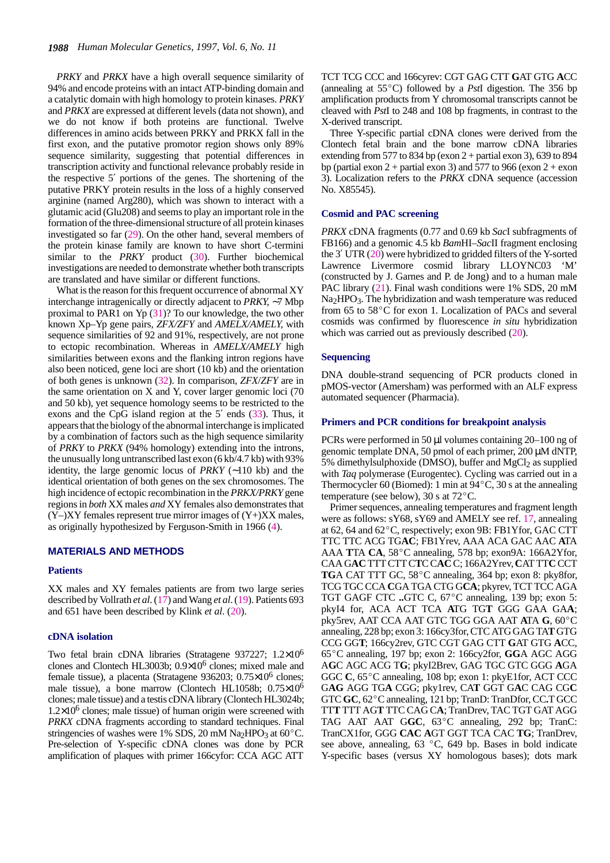*PRKY* and *PRKX* have a high overall sequence similarity of 94% and encode proteins with an intact ATP-binding domain and a catalytic domain with high homology to protein kinases. *PRKY* and *PRKX* are expressed at different levels (data not shown), and we do not know if both proteins are functional. Twelve differences in amino acids between PRKY and PRKX fall in the first exon, and the putative promotor region shows only 89% sequence similarity, suggesting that potential differences in transcription activity and functional relevance probably reside in the respective 5′ portions of the genes. The shortening of the putative PRKY protein results in the loss of a highly conserved arginine (named Arg280), which was shown to interact with a glutamic acid (Glu208) and seems to play an important role in the formation of the three-dimensional structure of all protein kinases investigated so far (29). On the other hand, several members of the protein kinase family are known to have short C-termini similar to the *PRKY* product (30). Further biochemical investigations are needed to demonstrate whether both transcripts are translated and have similar or different functions.

What is the reason for this frequent occurrence of abnormal XY interchange intragenically or directly adjacent to *PRKY*, ∼7 Mbp proximal to PAR1 on Yp (31)? To our knowledge, the two other known Xp–Yp gene pairs, *ZFX/ZFY* and *AMELX/AMELY*, with sequence similarities of 92 and 91%, respectively, are not prone to ectopic recombination. Whereas in *AMELX/AMELY* high similarities between exons and the flanking intron regions have also been noticed, gene loci are short (10 kb) and the orientation of both genes is unknown (32). In comparison, *ZFX*/*ZFY* are in the same orientation on X and Y, cover larger genomic loci (70 and 50 kb), yet sequence homology seems to be restricted to the exons and the CpG island region at the 5′ ends (33). Thus, it appears that the biology of the abnormal interchange is implicated by a combination of factors such as the high sequence similarity of *PRKY* to *PRKX* (94% homology) extending into the introns, the unusually long untranscribed last exon (6 kb/4.7 kb) with 93% identity, the large genomic locus of *PRKY* (∼110 kb) and the identical orientation of both genes on the sex chromosomes. The high incidence of ectopic recombination in the *PRKX/PRKY* gene regions in *both* XX males *and* XY females also demonstrates that  $(Y-)XY$  females represent true mirror images of  $(Y+)XX$  males, as originally hypothesized by Ferguson-Smith in 1966 (4).

#### **MATERIALS AND METHODS**

## **Patients**

XX males and XY females patients are from two large series described by Vollrath *et al*. (17) and Wang *et al*. (19). Patients 693 and 651 have been described by Klink *et al*. (20).

# **cDNA isolation**

Two fetal brain cDNA libraries (Stratagene 937227; 1.2×106 clones and Clontech HL3003b; 0.9×106 clones; mixed male and female tissue), a placenta (Stratagene 936203; 0.75×106 clones; male tissue), a bone marrow (Clontech HL1058b; 0.75×106 clones; male tissue) and a testis cDNA library (Clontech HL3024b;  $1.2\times10^6$  clones; male tissue) of human origin were screened with *PRKX* cDNA fragments according to standard techniques. Final stringencies of washes were  $1\%$  SDS, 20 mM Na<sub>2</sub>HPO<sub>3</sub> at 60<sup>o</sup>C. Pre-selection of Y-specific cDNA clones was done by PCR amplification of plaques with primer 166cyfor: CCA AGC ATT

TCT TCG CCC and 166cyrev: CGT GAG CTT GAT GTG ACC (annealing at 55°C) followed by a *PstI* digestion. The 356 bp amplification products from Y chromosomal transcripts cannot be cleaved with *Pst*I to 248 and 108 bp fragments, in contrast to the X-derived transcript.

Three Y-specific partial cDNA clones were derived from the Clontech fetal brain and the bone marrow cDNA libraries extending from 577 to 834 bp (exon  $2 +$  partial exon 3), 639 to 894 bp (partial exon 2 + partial exon 3) and 577 to 966 (exon  $2 +$  exon 3). Localization refers to the *PRKX* cDNA sequence (accession No. X85545).

#### **Cosmid and PAC screening**

*PRKX* cDNA fragments (0.77 and 0.69 kb *Sac*I subfragments of FB166) and a genomic 4.5 kb *Bam*HI–*Sac*II fragment enclosing the 3′ UTR (20) were hybridized to gridded filters of the Y-sorted Lawrence Livermore cosmid library LLOYNC03 'M' (constructed by J. Garnes and P. de Jong) and to a human male PAC library (21). Final wash conditions were 1% SDS, 20 mM Na<sub>2</sub>HPO<sub>3</sub>. The hybridization and wash temperature was reduced from 65 to 58 $^{\circ}$ C for exon 1. Localization of PACs and several cosmids was confirmed by fluorescence *in situ* hybridization which was carried out as previously described  $(20)$ .

#### **Sequencing**

DNA double-strand sequencing of PCR products cloned in pMOS-vector (Amersham) was performed with an ALF express automated sequencer (Pharmacia).

## **Primers and PCR conditions for breakpoint analysis**

PCRs were performed in 50 µl volumes containing 20–100 ng of genomic template DNA, 50 pmol of each primer, 200 µM dNTP, 5% dimethylsulphoxide (DMSO), buffer and  $MgCl<sub>2</sub>$  as supplied with *Taq* polymerase (Eurogentec). Cycling was carried out in a  $T_{70}$  unicity surphoxide (DMSO), burier and MgCr<sub>2</sub> as supplied<br>with *Taq* polymerase (Eurogentec). Cycling was carried out in a<br>Thermocycler 60 (Biomed): 1 min at 94 $^{\circ}$ C, 30 s at the annealing with *tuq* polymerase (Eurogenee). Cy<br>Thermocycler 60 (Biomed): 1 min at 9<br>temperature (see below), 30 s at 72 $^{\circ}$ C.

Primer sequences, annealing temperatures and fragment length I rinci sequences, annealing emperatures and riagnment reignment were as follows: sY68, sY69 and AMELY see ref. 17, annealing at 62, 64 and 62 $^{\circ}$ C, respectively; exon 9B: FB1Yfor, GAC CTT TTC TTC ACG TG**AC**; FB1Yrev, AAA ACA GAC AAC **A**TA at 62, 64 and 62°C, respectively; exon 9B: FB1Yfor, GAC CTT<br>TTC TTC ACG TGAC; FB1Yrev, AAA ACA GAC AAC ATA<br>AAA **TTA CA**, 58°C annealing, 578 bp; exon9A: 166A2Yfor, CAA G**AC** TTT CTT C**T**C C**AC** C; 166A2Yrev, **C**AT TT**C** CCT TGA CAT TTT GC, 58°C annealing, 364 bp; exon 8: pky8for, TCG TGC CCA **C**GA TGA CTG G**CA**; pkyrev, TCT TCC AGA TGT GAGF CTC ..GTC C, 67°C annealing, 139 bp; exon 5: pkyI4 for, ACA ACT TCA ATG TGT GGG GAA GAA;<br>pky5rev, AAT CCA AAT GTC TGG GGA AAT ATA **G**, 60<sup>°</sup>C annealing, 228 bp; exon 3: 166cy3for, CTC ATG GAG TA**T** GTG CCG GG**T**; 166cy2rev, GTC CGT GAG CTT **G**AT GTG **A**CC, <sup>65</sup>C annealing, 197 bp; exon 2: 166cy2for, **GG**A AGC AGG A**G**C AGC ACG T**G**; pkyI2Brev, GAG TGC GTC GGG **A**GA GGC **C**, <sup>65</sup>C annealing, 108 bp; exon 1: pkyE1for, ACT CCC GGC C, 65 C annealing, 106 bp, exon 1. pkyE1101, ACT CCC<br>GAG AGG TGA CGG; pky1rev, CAT GGT GAC CAG CGC<br>GTC GC, 62°C annealing, 121 bp; TranD: TranDfor, CC.T GCC TT**T** TTT AG**T** TTC CAG C**A**; TranDrev, TAC TGT GAT AGG GTC GC, 62°C annealing, 121 bp; TranD: TranDfor, CC.T GCC<br>TTT TTT AGT TTC CAG CA; TranDrev, TAC TGT GAT AGG<br>TAG AAT AAT GGC, 63°C annealing, 292 bp; TranC: TranCX1for, GGG **CAC A**GT GGT TCA CAC **TG**; TranDrev, see above, annealing, 63 °C, 649 bp. Bases in bold indicate Y-specific bases (versus XY homologous bases); dots mark